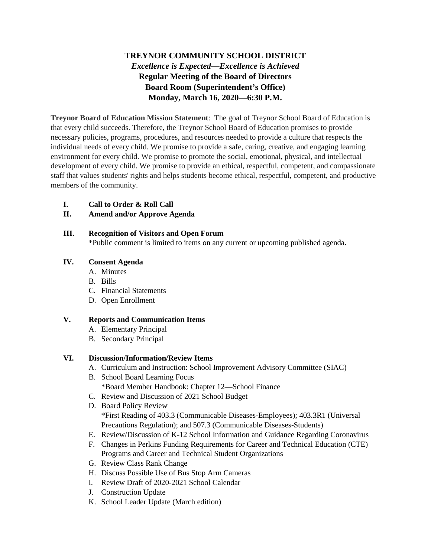## **TREYNOR COMMUNITY SCHOOL DISTRICT** *Excellence is Expected—Excellence is Achieved* **Regular Meeting of the Board of Directors Board Room (Superintendent's Office) Monday, March 16, 2020—6:30 P.M.**

**Treynor Board of Education Mission Statement**: The goal of Treynor School Board of Education is that every child succeeds. Therefore, the Treynor School Board of Education promises to provide necessary policies, programs, procedures, and resources needed to provide a culture that respects the individual needs of every child. We promise to provide a safe, caring, creative, and engaging learning environment for every child. We promise to promote the social, emotional, physical, and intellectual development of every child. We promise to provide an ethical, respectful, competent, and compassionate staff that values students' rights and helps students become ethical, respectful, competent, and productive members of the community.

**I. Call to Order & Roll Call**

### **II. Amend and/or Approve Agenda**

#### **III. Recognition of Visitors and Open Forum**

\*Public comment is limited to items on any current or upcoming published agenda.

#### **IV. Consent Agenda**

- A. Minutes
- B. Bills
- C. Financial Statements
- D. Open Enrollment

#### **V. Reports and Communication Items**

- A. Elementary Principal
- B. Secondary Principal

### **VI. Discussion/Information/Review Items**

- A. Curriculum and Instruction: School Improvement Advisory Committee (SIAC)
- B. School Board Learning Focus \*Board Member Handbook: Chapter 12—School Finance
- C. Review and Discussion of 2021 School Budget
- D. Board Policy Review \*First Reading of 403.3 (Communicable Diseases-Employees); 403.3R1 (Universal Precautions Regulation); and 507.3 (Communicable Diseases-Students)
- E. Review/Discussion of K-12 School Information and Guidance Regarding Coronavirus
- F. Changes in Perkins Funding Requirements for Career and Technical Education (CTE) Programs and Career and Technical Student Organizations
- G. Review Class Rank Change
- H. Discuss Possible Use of Bus Stop Arm Cameras
- I. Review Draft of 2020-2021 School Calendar
- J. Construction Update
- K. School Leader Update (March edition)